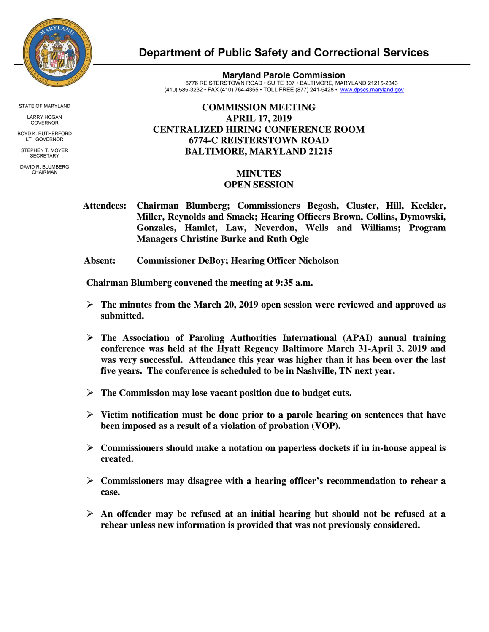

STATE OF MARYLAND

LARRY HOGAN GOVERNOR

BOYD K. RUTHERFORD LT. GOVERNOR

STEPHEN T. MOYER **SECRETARY** 

DAVID R. BLUMBERG CHAIRMAN

## **Department of Public Safety and Correctional Services**

**Maryland Parole Commission** 6776 REISTERSTOWN ROAD • SUITE 307 • BALTIMORE, MARYLAND 21215-2343 (410) 585-3232 • FAX (410) 764-4355 • TOLL FREE (877) 241-5428 • www.dpscs.maryland.gov

## **COMMISSION MEETING APRIL 17, 2019 CENTRALIZED HIRING CONFERENCE ROOM 6774-C REISTERSTOWN ROAD BALTIMORE, MARYLAND 21215**

## **MINUTES OPEN SESSION**

- **Attendees: Chairman Blumberg; Commissioners Begosh, Cluster, Hill, Keckler, Miller, Reynolds and Smack; Hearing Officers Brown, Collins, Dymowski, Gonzales, Hamlet, Law, Neverdon, Wells and Williams; Program Managers Christine Burke and Ruth Ogle**
- **Absent: Commissioner DeBoy; Hearing Officer Nicholson**

 **Chairman Blumberg convened the meeting at 9:35 a.m.**

- **The minutes from the March 20, 2019 open session were reviewed and approved as submitted.**
- **The Association of Paroling Authorities International (APAI) annual training conference was held at the Hyatt Regency Baltimore March 31-April 3, 2019 and was very successful. Attendance this year was higher than it has been over the last five years. The conference is scheduled to be in Nashville, TN next year.**
- **The Commission may lose vacant position due to budget cuts.**
- **Victim notification must be done prior to a parole hearing on sentences that have been imposed as a result of a violation of probation (VOP).**
- **Commissioners should make a notation on paperless dockets if in in-house appeal is created.**
- **Commissioners may disagree with a hearing officer's recommendation to rehear a case.**
- **An offender may be refused at an initial hearing but should not be refused at a rehear unless new information is provided that was not previously considered.**